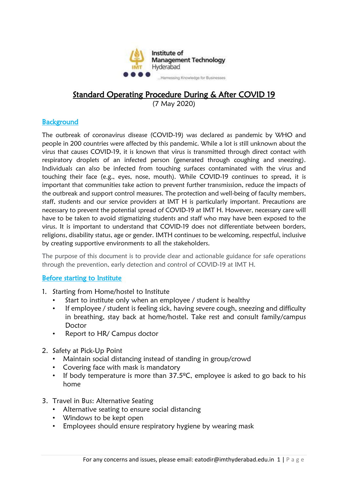

# Standard Operating Procedure During & After COVID 19

(7 May 2020)

### **Background**

The outbreak of coronavirus disease (COVID-19) was declared as pandemic by WHO and people in 200 countries were affected by this pandemic. While a lot is still unknown about the virus that causes COVID-19, it is known that virus is transmitted through direct contact with respiratory droplets of an infected person (generated through coughing and sneezing). Individuals can also be infected from touching surfaces contaminated with the virus and touching their face (e.g., eyes, nose, mouth). While COVID-19 continues to spread, it is important that communities take action to prevent further transmission, reduce the impacts of the outbreak and support control measures. The protection and well-being of faculty members, staff, students and our service providers at IMT H is particularly important. Precautions are necessary to prevent the potential spread of COVID-19 at IMT H. However, necessary care will have to be taken to avoid stigmatizing students and staff who may have been exposed to the virus. It is important to understand that COVID-19 does not differentiate between borders, religions, disability status, age or gender. IMTH continues to be welcoming, respectful, inclusive by creating supportive environments to all the stakeholders.

The purpose of this document is to provide clear and actionable guidance for safe operations through the prevention, early detection and control of COVID-19 at IMT H.

### Before starting to Institute

- 1. Starting from Home/hostel to Institute
	- Start to institute only when an employee / student is healthy
	- If employee / student is feeling sick, having severe cough, sneezing and difficulty in breathing, stay back at home/hostel. Take rest and consult family/campus Doctor
	- Report to HR/ Campus doctor
- 2. Safety at Pick-Up Point
	- Maintain social distancing instead of standing in group/crowd
	- Covering face with mask is mandatory
	- If body temperature is more than  $37.5^{\circ}$ C, employee is asked to go back to his home
- 3. Travel in Bus: Alternative Seating
	- Alternative seating to ensure social distancing
	- Windows to be kept open
	- Employees should ensure respiratory hygiene by wearing mask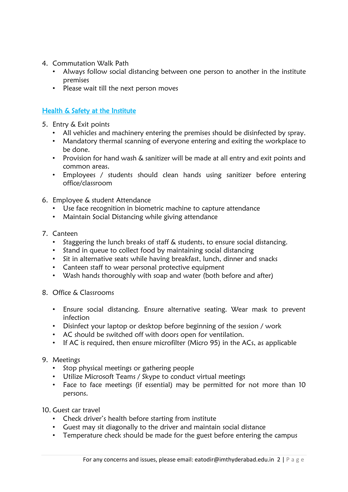- 4. Commutation Walk Path
	- Always follow social distancing between one person to another in the institute premises
	- Please wait till the next person moves

# Health & Safety at the Institute

- 5. Entry & Exit points
	- All vehicles and machinery entering the premises should be disinfected by spray.
	- Mandatory thermal scanning of everyone entering and exiting the workplace to be done.
	- Provision for hand wash & sanitizer will be made at all entry and exit points and common areas.
	- Employees / students should clean hands using sanitizer before entering office/classroom
- 6. Employee & student Attendance
	- Use face recognition in biometric machine to capture attendance
	- Maintain Social Distancing while giving attendance
- 7. Canteen
	- Staggering the lunch breaks of staff & students, to ensure social distancing.
	- Stand in queue to collect food by maintaining social distancing
	- Sit in alternative seats while having breakfast, lunch, dinner and snacks
	- Canteen staff to wear personal protective equipment
	- Wash hands thoroughly with soap and water (both before and after)
- 8. Office & Classrooms
	- Ensure social distancing. Ensure alternative seating. Wear mask to prevent infection
	- Disinfect your laptop or desktop before beginning of the session / work
	- AC should be switched off with doors open for ventilation.
	- If AC is required, then ensure microfilter (Micro 95) in the ACs, as applicable

# 9. Meetings

- Stop physical meetings or gathering people
- Utilize Microsoft Teams / Skype to conduct virtual meetings
- Face to face meetings (if essential) may be permitted for not more than 10 persons.

10. Guest car travel

- Check driver's health before starting from institute
- Guest may sit diagonally to the driver and maintain social distance
- Temperature check should be made for the guest before entering the campus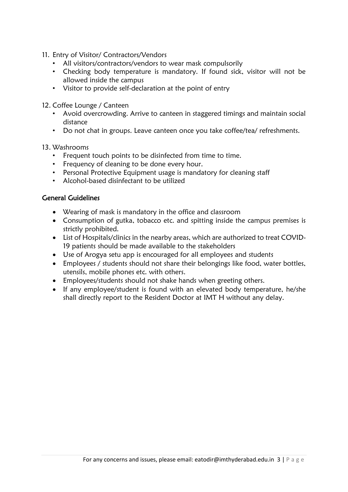- 11. Entry of Visitor/ Contractors/Vendors
	- All visitors/contractors/vendors to wear mask compulsorily
	- Checking body temperature is mandatory. If found sick, visitor will not be allowed inside the campus
	- Visitor to provide self-declaration at the point of entry
- 12. Coffee Lounge / Canteen
	- Avoid overcrowding. Arrive to canteen in staggered timings and maintain social distance
	- Do not chat in groups. Leave canteen once you take coffee/tea/ refreshments.

### 13. Washrooms

- Frequent touch points to be disinfected from time to time.
- Frequency of cleaning to be done every hour.
- Personal Protective Equipment usage is mandatory for cleaning staff
- Alcohol-based disinfectant to be utilized

# General Guidelines

- Wearing of mask is mandatory in the office and classroom
- Consumption of gutka, tobacco etc. and spitting inside the campus premises is strictly prohibited.
- List of Hospitals/clinics in the nearby areas, which are authorized to treat COVID-19 patients should be made available to the stakeholders
- Use of Arogya setu app is encouraged for all employees and students
- Employees / students should not share their belongings like food, water bottles, utensils, mobile phones etc. with others.
- Employees/students should not shake hands when greeting others.
- If any employee/student is found with an elevated body temperature, he/she shall directly report to the Resident Doctor at IMT H without any delay.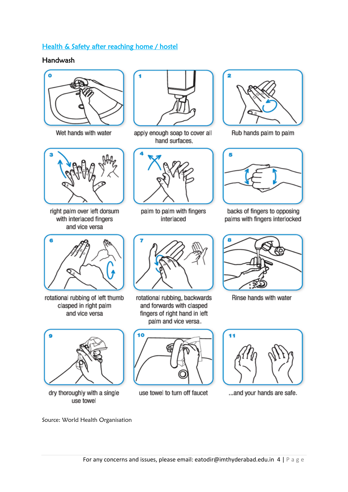# Health & Safety after reaching home / hostel

## Handwash



Wet hands with water



right palm over left dorsum with interlaced fingers and vice versa



rotational rubbing of left thumb clasped in right palm and vice versa



dry thoroughly with a single use towel



apply enough soap to cover all hand surfaces.



palm to palm with fingers interlaced



rotational rubbing, backwards and forwards with clasped fingers of right hand in left palm and vice versa.



use towel to turn off faucet



Rub hands palm to palm



backs of fingers to opposing palms with fingers interlocked



Rinse hands with water



... and your hands are safe.

Source: World Health Organisation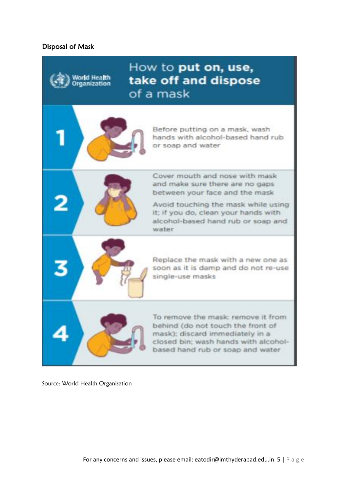## Disposal of Mask





Norld Health

Organization

Before putting on a mask, wash hands with alcohol-based hand rub or soap and water



Cover mouth and nose with mask and make sure there are no gaps between your face and the mask

Avoid touching the mask while using it; if you do, clean your hands with alcohol-based hand rub or spap and water



Replace the mask with a new one as soon as it is damp and do not re-use single-use masks



To remove the mask: remove it from behind (do not touch the front of mask); discard immediately in a closed bin; wash hands with alcoholbased hand rub or soap and water

Source: World Health Organisation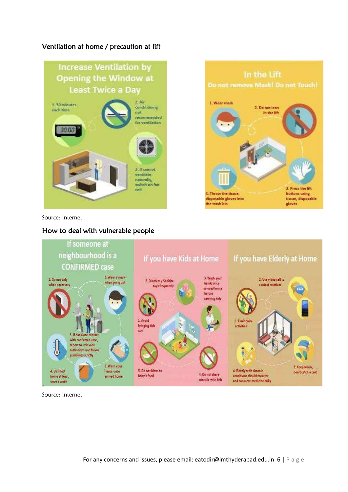# Ventilation at home / precaution at lift



In the Lift Do not remove Mask! Do not Touch! 1. Wear mask 2. Do not lean in the lift 3. Press the lift 4. Throw the tissue, buttons using disposable gloves into tissue, disposable the trash bin gloves

Source: Internet

### How to deal with vulnerable people



Source: Internet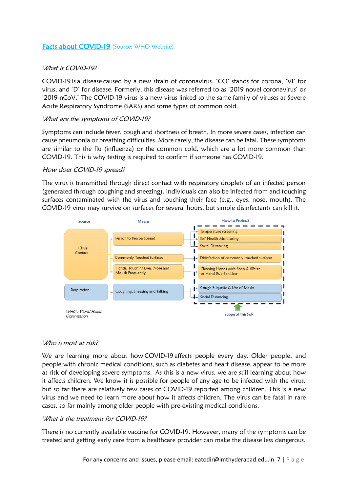### Facts about COVID-19 (Source: WHO Website)

#### What is COVID-19?

COVID-19 is a disease caused by a new strain of coronavirus. 'CO' stands for corona, 'VI' for virus, and 'D' for disease. Formerly, this disease was referred to as '2019 novel coronavirus' or '2019-nCoV.' The COVID-19 virus is a new virus linked to the same family of viruses as Severe Acute Respiratory Syndrome (SARS) and some types of common cold.

#### What are the symptoms of COVID-19?

Symptoms can include fever, cough and shortness of breath. In more severe cases, infection can cause pneumonia or breathing difficulties. More rarely, the disease can be fatal. These symptoms are similar to the flu (influenza) or the common cold, which are a lot more common than COVID-19. This is why testing is required to confirm if someone has COVID-19.

#### How does COVID-19 spread?

The virus is transmitted through direct contact with respiratory droplets of an infected person (generated through coughing and sneezing). Individuals can also be infected from and touching surfaces contaminated with the virus and touching their face (e.g., eyes, nose, mouth). The COVID-19 virus may survive on surfaces for several hours, but simple disinfectants can kill it.



#### Who is most at risk?

We are learning more about how COVID-19 affects people every day.  Older people, and people with chronic medical conditions, such as diabetes and heart disease, appear to be more at risk of developing severe symptoms. As this is a new virus, we are still learning about how it affects children. We know it is possible for people of any age to be infected with the virus, but so far there are relatively few cases of COVID-19 reported among children. This is a new virus and we need to learn more about how it affects children. The virus can be fatal in rare cases, so far mainly among older people with pre-existing medical conditions.

#### What is the treatment for COVID-19?

There is no currently available vaccine for COVID-19. However, many of the symptoms can be treated and getting early care from a healthcare provider can make the disease less dangerous.